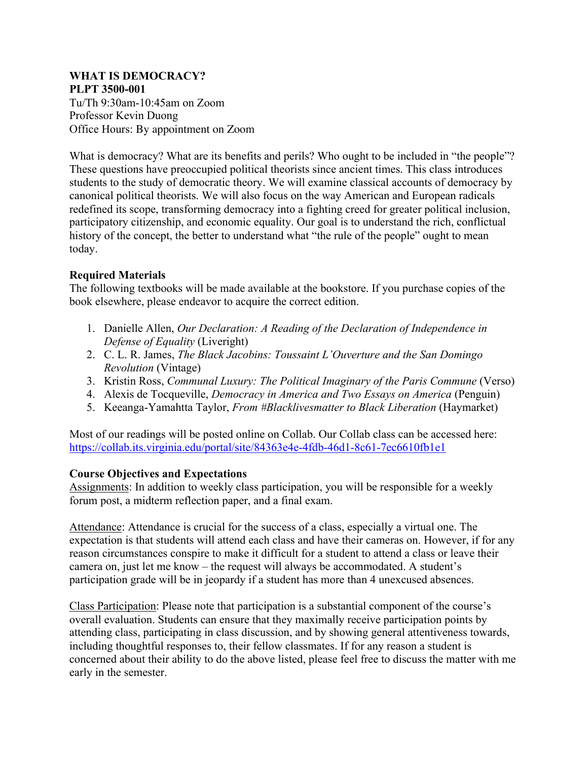#### **WHAT IS DEMOCRACY? PLPT 3500-001**

Tu/Th 9:30am-10:45am on Zoom Professor Kevin Duong Office Hours: By appointment on Zoom

What is democracy? What are its benefits and perils? Who ought to be included in "the people"? These questions have preoccupied political theorists since ancient times. This class introduces students to the study of democratic theory. We will examine classical accounts of democracy by canonical political theorists. We will also focus on the way American and European radicals redefined its scope, transforming democracy into a fighting creed for greater political inclusion, participatory citizenship, and economic equality. Our goal is to understand the rich, conflictual history of the concept, the better to understand what "the rule of the people" ought to mean today.

## **Required Materials**

The following textbooks will be made available at the bookstore. If you purchase copies of the book elsewhere, please endeavor to acquire the correct edition.

- 1. Danielle Allen, *Our Declaration: A Reading of the Declaration of Independence in Defense of Equality* (Liveright)
- 2. C. L. R. James, *The Black Jacobins: Toussaint L'Ouverture and the San Domingo Revolution* (Vintage)
- 3. Kristin Ross, *Communal Luxury: The Political Imaginary of the Paris Commune* (Verso)
- 4. Alexis de Tocqueville, *Democracy in America and Two Essays on America* (Penguin)
- 5. Keeanga-Yamahtta Taylor, *From #Blacklivesmatter to Black Liberation* (Haymarket)

Most of our readings will be posted online on Collab. Our Collab class can be accessed here: https://collab.its.virginia.edu/portal/site/84363e4e-4fdb-46d1-8c61-7ec6610fb1e1

## **Course Objectives and Expectations**

Assignments: In addition to weekly class participation, you will be responsible for a weekly forum post, a midterm reflection paper, and a final exam.

Attendance: Attendance is crucial for the success of a class, especially a virtual one. The expectation is that students will attend each class and have their cameras on. However, if for any reason circumstances conspire to make it difficult for a student to attend a class or leave their camera on, just let me know – the request will always be accommodated. A student's participation grade will be in jeopardy if a student has more than 4 unexcused absences.

Class Participation: Please note that participation is a substantial component of the course's overall evaluation. Students can ensure that they maximally receive participation points by attending class, participating in class discussion, and by showing general attentiveness towards, including thoughtful responses to, their fellow classmates. If for any reason a student is concerned about their ability to do the above listed, please feel free to discuss the matter with me early in the semester.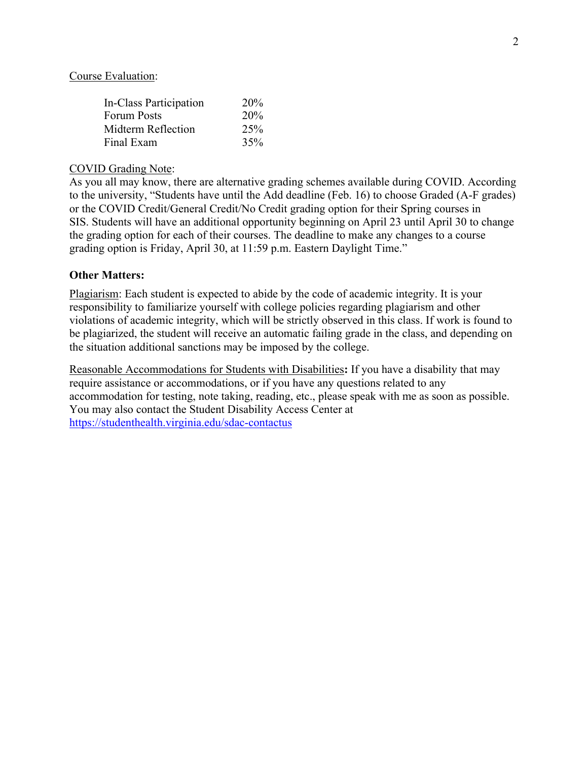#### Course Evaluation:

| In-Class Participation | 20% |
|------------------------|-----|
| <b>Forum Posts</b>     | 20% |
| Midterm Reflection     | 25% |
| Final Exam             | 35% |

#### COVID Grading Note:

As you all may know, there are alternative grading schemes available during COVID. According to the university, "Students have until the Add deadline (Feb. 16) to choose Graded (A-F grades) or the COVID Credit/General Credit/No Credit grading option for their Spring courses in SIS. Students will have an additional opportunity beginning on April 23 until April 30 to change the grading option for each of their courses. The deadline to make any changes to a course grading option is Friday, April 30, at 11:59 p.m. Eastern Daylight Time."

### **Other Matters:**

Plagiarism: Each student is expected to abide by the code of academic integrity. It is your responsibility to familiarize yourself with college policies regarding plagiarism and other violations of academic integrity, which will be strictly observed in this class. If work is found to be plagiarized, the student will receive an automatic failing grade in the class, and depending on the situation additional sanctions may be imposed by the college.

Reasonable Accommodations for Students with Disabilities**:** If you have a disability that may require assistance or accommodations, or if you have any questions related to any accommodation for testing, note taking, reading, etc., please speak with me as soon as possible. You may also contact the Student Disability Access Center at https://studenthealth.virginia.edu/sdac-contactus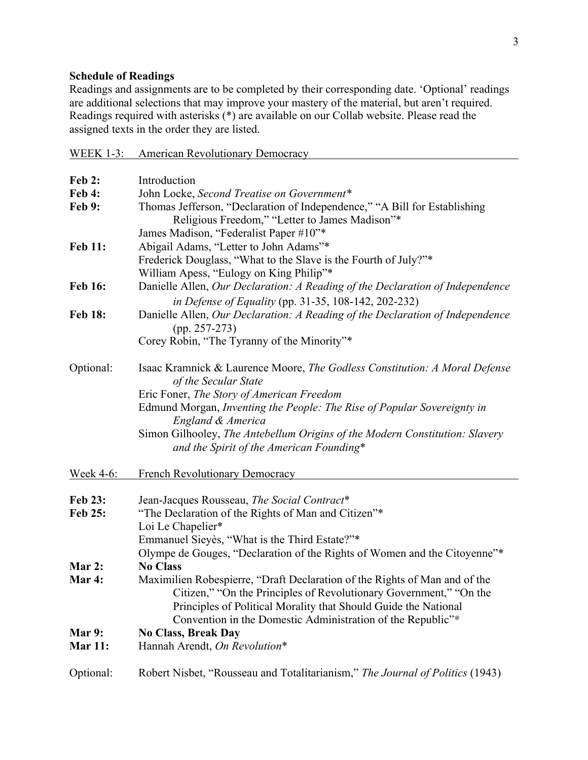# **Schedule of Readings**

Readings and assignments are to be completed by their corresponding date. 'Optional' readings are additional selections that may improve your mastery of the material, but aren't required. Readings required with asterisks (\*) are available on our Collab website. Please read the assigned texts in the order they are listed.

WEEK 1-3: American Revolutionary Democracy

| <b>Feb 2:</b>    | Introduction                                                                                                                                                                                         |
|------------------|------------------------------------------------------------------------------------------------------------------------------------------------------------------------------------------------------|
| <b>Feb 4:</b>    | John Locke, Second Treatise on Government*                                                                                                                                                           |
| Feb 9:           | Thomas Jefferson, "Declaration of Independence," "A Bill for Establishing<br>Religious Freedom," "Letter to James Madison"*                                                                          |
|                  | James Madison, "Federalist Paper #10"*                                                                                                                                                               |
| <b>Feb 11:</b>   | Abigail Adams, "Letter to John Adams"*<br>Frederick Douglass, "What to the Slave is the Fourth of July?"*<br>William Apess, "Eulogy on King Philip"*                                                 |
| <b>Feb 16:</b>   | Danielle Allen, Our Declaration: A Reading of the Declaration of Independence                                                                                                                        |
|                  |                                                                                                                                                                                                      |
|                  | in Defense of Equality (pp. 31-35, 108-142, 202-232)                                                                                                                                                 |
| <b>Feb 18:</b>   | Danielle Allen, Our Declaration: A Reading of the Declaration of Independence<br>$(pp. 257-273)$                                                                                                     |
|                  | Corey Robin, "The Tyranny of the Minority"*                                                                                                                                                          |
| Optional:        | Isaac Kramnick & Laurence Moore, The Godless Constitution: A Moral Defense<br>of the Secular State                                                                                                   |
|                  | Eric Foner, The Story of American Freedom                                                                                                                                                            |
|                  | Edmund Morgan, Inventing the People: The Rise of Popular Sovereignty in                                                                                                                              |
|                  | England & America                                                                                                                                                                                    |
|                  | Simon Gilhooley, The Antebellum Origins of the Modern Constitution: Slavery<br>and the Spirit of the American Founding*                                                                              |
| <u>Week 4-6:</u> | <b>French Revolutionary Democracy</b>                                                                                                                                                                |
| <b>Feb 23:</b>   | Jean-Jacques Rousseau, The Social Contract*                                                                                                                                                          |
| Feb 25:          | "The Declaration of the Rights of Man and Citizen"*                                                                                                                                                  |
|                  | Loi Le Chapelier*                                                                                                                                                                                    |
|                  | Emmanuel Sieyès, "What is the Third Estate?"*                                                                                                                                                        |
|                  | Olympe de Gouges, "Declaration of the Rights of Women and the Citoyenne"*                                                                                                                            |
| Mar 2:           | <b>No Class</b>                                                                                                                                                                                      |
| Mar 4:           | Maximilien Robespierre, "Draft Declaration of the Rights of Man and of the                                                                                                                           |
|                  | Citizen," "On the Principles of Revolutionary Government," "On the<br>Principles of Political Morality that Should Guide the National<br>Convention in the Domestic Administration of the Republic"* |
| Mar 9:           | <b>No Class, Break Day</b>                                                                                                                                                                           |
| <b>Mar 11:</b>   | Hannah Arendt, On Revolution*                                                                                                                                                                        |
| Optional:        | Robert Nisbet, "Rousseau and Totalitarianism," The Journal of Politics (1943)                                                                                                                        |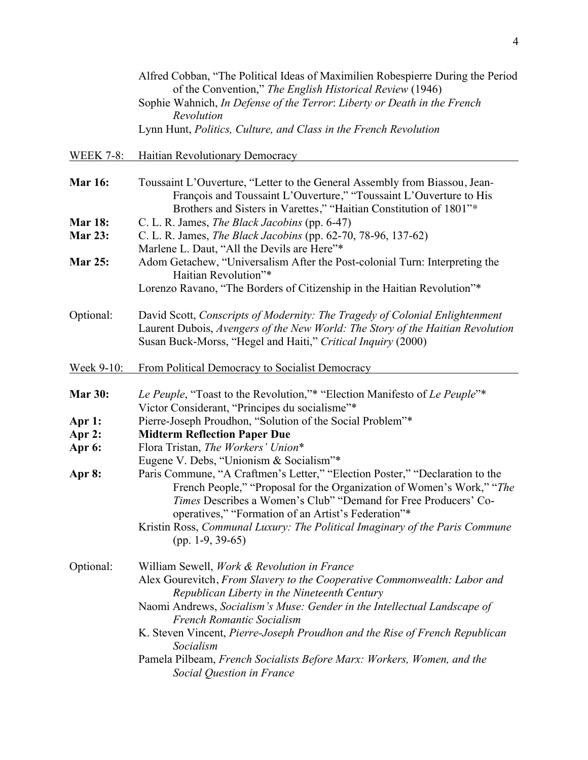|                                  | Alfred Cobban, "The Political Ideas of Maximilien Robespierre During the Period<br>of the Convention," The English Historical Review (1946)<br>Sophie Wahnich, In Defense of the Terror: Liberty or Death in the French<br>Revolution<br>Lynn Hunt, Politics, Culture, and Class in the French Revolution                                                      |
|----------------------------------|----------------------------------------------------------------------------------------------------------------------------------------------------------------------------------------------------------------------------------------------------------------------------------------------------------------------------------------------------------------|
| <b>WEEK 7-8:</b>                 | Haitian Revolutionary Democracy                                                                                                                                                                                                                                                                                                                                |
| <b>Mar 16:</b>                   | Toussaint L'Ouverture, "Letter to the General Assembly from Biassou, Jean-<br>François and Toussaint L'Ouverture," "Toussaint L'Ouverture to His<br>Brothers and Sisters in Varettes," "Haitian Constitution of 1801"*                                                                                                                                         |
| <b>Mar 18:</b><br><b>Mar 23:</b> | C. L. R. James, The Black Jacobins (pp. 6-47)<br>C. L. R. James, The Black Jacobins (pp. 62-70, 78-96, 137-62)                                                                                                                                                                                                                                                 |
| <b>Mar 25:</b>                   | Marlene L. Daut, "All the Devils are Here"*<br>Adom Getachew, "Universalism After the Post-colonial Turn: Interpreting the<br>Haitian Revolution"*                                                                                                                                                                                                             |
|                                  | Lorenzo Ravano, "The Borders of Citizenship in the Haitian Revolution"*                                                                                                                                                                                                                                                                                        |
| Optional:                        | David Scott, Conscripts of Modernity: The Tragedy of Colonial Enlightenment<br>Laurent Dubois, Avengers of the New World: The Story of the Haitian Revolution<br>Susan Buck-Morss, "Hegel and Haiti," Critical Inquiry (2000)                                                                                                                                  |
| <u>Week 9-10:</u>                | From Political Democracy to Socialist Democracy                                                                                                                                                                                                                                                                                                                |
| <b>Mar 30:</b>                   | Le Peuple, "Toast to the Revolution,"* "Election Manifesto of Le Peuple"*<br>Victor Considerant, "Principes du socialisme"*                                                                                                                                                                                                                                    |
| Apr 1:                           | Pierre-Joseph Proudhon, "Solution of the Social Problem"*                                                                                                                                                                                                                                                                                                      |
| Apr 2:                           | <b>Midterm Reflection Paper Due</b>                                                                                                                                                                                                                                                                                                                            |
| Apr 6:                           | Flora Tristan, The Workers' Union*<br>Eugene V. Debs, "Unionism & Socialism"*                                                                                                                                                                                                                                                                                  |
| Apr 8:                           | Paris Commune, "A Craftmen's Letter," "Election Poster," "Declaration to the<br>French People," "Proposal for the Organization of Women's Work," "The<br>Times Describes a Women's Club" "Demand for Free Producers' Co-<br>operatives," "Formation of an Artist's Federation"*<br>Kristin Ross, Communal Luxury: The Political Imaginary of the Paris Commune |
|                                  | $(pp. 1-9, 39-65)$                                                                                                                                                                                                                                                                                                                                             |
| Optional:                        | William Sewell, Work & Revolution in France<br>Alex Gourevitch, From Slavery to the Cooperative Commonwealth: Labor and<br>Republican Liberty in the Nineteenth Century                                                                                                                                                                                        |
|                                  | Naomi Andrews, Socialism's Muse: Gender in the Intellectual Landscape of<br><b>French Romantic Socialism</b><br>K. Steven Vincent, Pierre-Joseph Proudhon and the Rise of French Republican                                                                                                                                                                    |
|                                  | Socialism<br>Pamela Pilbeam, French Socialists Before Marx: Workers, Women, and the<br>Social Question in France                                                                                                                                                                                                                                               |